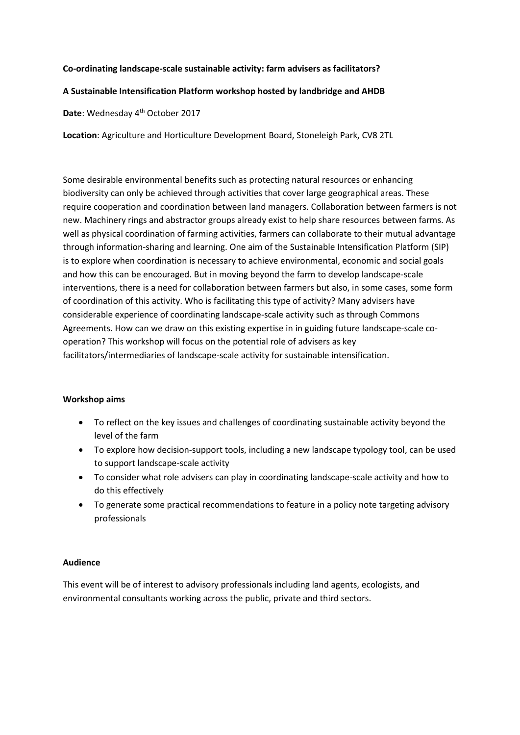### **Co-ordinating landscape-scale sustainable activity: farm advisers as facilitators?**

## **A Sustainable Intensification Platform workshop hosted by landbridge and AHDB**

Date: Wednesday 4<sup>th</sup> October 2017

**Location**: Agriculture and Horticulture Development Board, Stoneleigh Park, CV8 2TL

Some desirable environmental benefits such as protecting natural resources or enhancing biodiversity can only be achieved through activities that cover large geographical areas. These require cooperation and coordination between land managers. Collaboration between farmers is not new. Machinery rings and abstractor groups already exist to help share resources between farms. As well as physical coordination of farming activities, farmers can collaborate to their mutual advantage through information-sharing and learning. One aim of the Sustainable Intensification Platform (SIP) is to explore when coordination is necessary to achieve environmental, economic and social goals and how this can be encouraged. But in moving beyond the farm to develop landscape-scale interventions, there is a need for collaboration between farmers but also, in some cases, some form of coordination of this activity. Who is facilitating this type of activity? Many advisers have considerable experience of coordinating landscape-scale activity such as through Commons Agreements. How can we draw on this existing expertise in in guiding future landscape-scale cooperation? This workshop will focus on the potential role of advisers as key facilitators/intermediaries of landscape-scale activity for sustainable intensification.

## **Workshop aims**

- To reflect on the key issues and challenges of coordinating sustainable activity beyond the level of the farm
- To explore how decision-support tools, including a new landscape typology tool, can be used to support landscape-scale activity
- To consider what role advisers can play in coordinating landscape-scale activity and how to do this effectively
- To generate some practical recommendations to feature in a policy note targeting advisory professionals

#### **Audience**

This event will be of interest to advisory professionals including land agents, ecologists, and environmental consultants working across the public, private and third sectors.